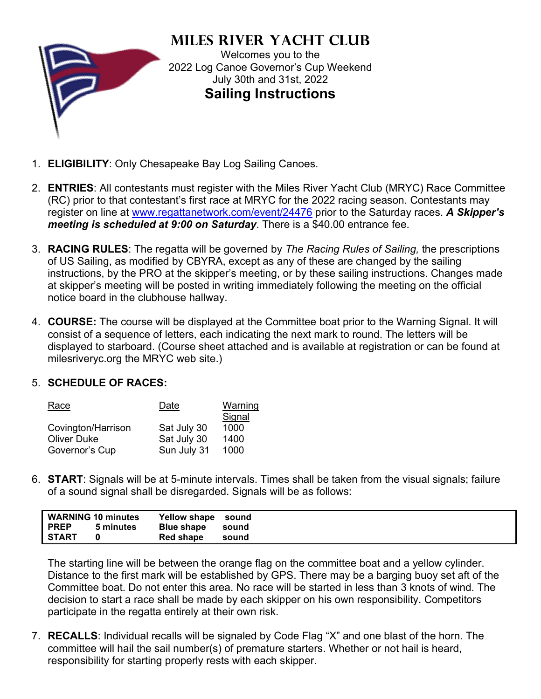

**Miles River Yacht Club** Welcomes you to the 2022 Log Canoe Governor's Cup Weekend July 30th and 31st, 2022 **Sailing Instructions**

- 1. **ELIGIBILITY**: Only Chesapeake Bay Log Sailing Canoes.
- 2. **ENTRIES**: All contestants must register with the Miles River Yacht Club (MRYC) Race Committee (RC) prior to that contestant's first race at MRYC for the 2022 racing season. Contestants may register on line at [www.regattanetwork.com/](http://www.regattanetwork.com/)event/24476 prior to the Saturday races. *A Skipper's meeting is scheduled at 9:00 on Saturday*. There is a \$40.00 entrance fee.
- 3. **RACING RULES**: The regatta will be governed by *The Racing Rules of Sailing,* the prescriptions of US Sailing, as modified by CBYRA, except as any of these are changed by the sailing instructions, by the PRO at the skipper's meeting, or by these sailing instructions. Changes made at skipper's meeting will be posted in writing immediately following the meeting on the official notice board in the clubhouse hallway.
- 4. **COURSE:** The course will be displayed at the Committee boat prior to the Warning Signal. It will consist of a sequence of letters, each indicating the next mark to round. The letters will be displayed to starboard. (Course sheet attached and is available at registration or can be found at milesriveryc.org the MRYC web site.)

## 5. **SCHEDULE OF RACES:**

| Race               | Date        | Warning |
|--------------------|-------------|---------|
|                    |             | Signal  |
| Covington/Harrison | Sat July 30 | 1000    |
| <b>Oliver Duke</b> | Sat July 30 | 1400    |
| Governor's Cup     | Sun July 31 | 1000    |

6. **START**: Signals will be at 5-minute intervals. Times shall be taken from the visual signals; failure of a sound signal shall be disregarded. Signals will be as follows:

| I PREP       | WARNING 10 minutes<br>5 minutes | Yellow shape sound<br>Blue shape sound |       |  |
|--------------|---------------------------------|----------------------------------------|-------|--|
| <b>START</b> |                                 | <b>Red shape</b>                       | sound |  |

The starting line will be between the orange flag on the committee boat and a yellow cylinder. Distance to the first mark will be established by GPS. There may be a barging buoy set aft of the Committee boat. Do not enter this area. No race will be started in less than 3 knots of wind. The decision to start a race shall be made by each skipper on his own responsibility. Competitors participate in the regatta entirely at their own risk.

7. **RECALLS**: Individual recalls will be signaled by Code Flag "X" and one blast of the horn. The committee will hail the sail number(s) of premature starters. Whether or not hail is heard, responsibility for starting properly rests with each skipper.